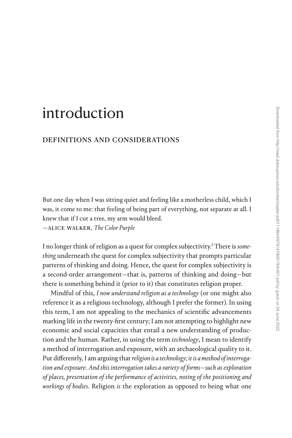# [introduction](#page--1-0)

## definitions and considerations

But one day when I was sitting quiet and feeling like a motherless child, which I was, it come to me: that feeling of being part of everything, not separate at all. I knew that if I cut a tree, my arm would bleed.

—alice walker, *The Color Purple*

I no longer think of religion as a quest for complex subjectivity.[1](#page--1-0) There is *something* underneath the quest for complex subjectivity that prompts particular patterns of thinking and doing. Hence, the quest for complex subjectivity is a second-order arrangement—that is, patterns of thinking and doing—but there is something behind it (prior to it) that constitutes religion proper.

Mindful of this, *I now understand religion as a technology* (or one might also reference it as a religious technology, although I prefer the former). In using this term, I am not appealing to the mechanics of scientific advancements marking life in the twenty-first century; I am not attempting to highlight new economic and social capacities that entail a new understanding of production and the human. Rather, in using the term *technology*, I mean to identify a method of interrogation and exposure, with an archaeological quality to it. Put differently, I am arguing that *religion is a technology; it is a method of interrogation and exposure*. *And this interrogation takes a variety of forms—such as exploration of places, presentation of the performance of activities, noting of the positioning and workings of bodies*. Religion *is* the exploration as opposed to being what one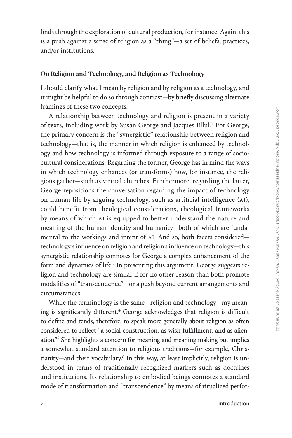finds through the exploration of cultural production, for instance. Again, this is a push against a sense of religion as a "thing"—a set of beliefs, practices, and/or institutions.

#### On Religion and Technology, and Religion as Technology

I should clarify what I mean by religion and by religion as a technology, and it might be helpful to do so through contrast—by briefly discussing alternate framings of these two concepts.

A relationship between technology and religion is present in a variety of texts, including work by Susan George and Jacques Ellul.<sup>[2](#page--1-0)</sup> For George, the primary concern is the "synergistic" relationship between religion and technology—that is, the manner in which religion is enhanced by technology and how technology is informed through exposure to a range of sociocultural considerations. Regarding the former, George has in mind the ways in which technology enhances (or transforms) how, for instance, the religious gather—such as virtual churches. Furthermore, regarding the latter, George repositions the conversation regarding the impact of technology on human life by arguing technology, such as artificial intelligence (AI), could benefit from theological considerations, theological frameworks by means of which AI is equipped to better understand the nature and meaning of the human identity and humanity—both of which are fundamental to the workings and intent of AI. And so, both facets considered technology's influence on religion and religion's influence on technology—this synergistic relationship connotes for George a complex enhancement of the form and dynamics of life.<sup>[3](#page--1-0)</sup> In presenting this argument, George suggests religion and technology are similar if for no other reason than both promote modalities of "transcendence"—or a push beyond current arrangements and circumstances.

While the terminology is the same—religion and technology—my meaning is significantly different.<sup>4</sup> George acknowledges that religion is difficult to define and tends, therefore, to speak more generally about religion as often considered to reflect "a social construction, as wish-fulfillment, and as alienation.["5](#page--1-0) She highlights a concern for meaning and meaning making but implies a somewhat standard attention to religious traditions—for example, Chris-tianity—and their vocabulary.<sup>[6](#page--1-0)</sup> In this way, at least implicitly, religion is understood in terms of traditionally recognized markers such as doctrines and institutions. Its relationship to embodied beings connotes a standard mode of transformation and "transcendence" by means of ritualized perfor-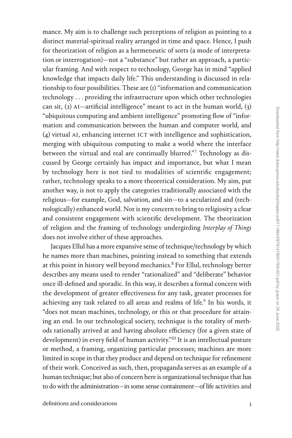mance. My aim is to challenge such perceptions of religion as pointing to a distinct material-spiritual reality arranged in time and space. Hence, I push for theorization of religion as a hermeneutic of sorts (a mode of interpretation or interrogation)—not a "substance" but rather an approach, a particular framing. And with respect to technology, George has in mind "applied knowledge that impacts daily life." This understanding is discussed in relationship to four possibilities. These are  $(i)$  "information and communication technology . . . providing the infrastructure upon which other technologies can sit, (2) AI—artificial intelligence" meant to act in the human world,  $(3)$ "ubiquitous computing and ambient intelligence" promoting flow of "information and communication between the human and computer world, and (4) virtual AI, enhancing internet ICT with intelligence and sophistication, merging with ubiquitous computing to make a world where the interface between the virtual and real are continually blurred."[7](#page--1-0) Technology as discussed by George certainly has impact and importance, but what I mean by technology here is not tied to modalities of scientific engagement; rather, technology speaks to a more theoretical consideration. My aim, put another way, is not to apply the categories traditionally associated with the religious—for example, God, salvation, and sin—to a secularized and (technologically) enhanced world. Nor is my concern to bring to religiosity a clear and consistent engagement with scientific development. The theorization of religion and the framing of technology undergirding *Interplay of Things* does not involve either of these approaches.

Jacques Ellul has a more expansive sense of technique/technology by which he names more than machines, pointing instead to something that extends at this point in history well beyond mechanics.<sup>[8](#page--1-0)</sup> For Ellul, technology better describes any means used to render "rationalized" and "deliberate" behavior once ill-defined and sporadic. In this way, it describes a formal concern with the development of greater effectiveness for any task, greater processes for achieving any task related to all areas and realms of life.<sup>9</sup> In his words, it "does not mean machines, technology, or this or that procedure for attaining an end. In our technological society, technique is the totality of methods rationally arrived at and having absolute efficiency (for a given state of development) in every field of human activity."<sup>10</sup> It is an intellectual posture or method, a framing, organizing particular processes; machines are more limited in scope in that they produce and depend on technique for refinement of their work. Conceived as such, then, propaganda serves as an example of a human technique; but also of concern here is organizational technique that has to do with the administration—in some sense containment—of life activities and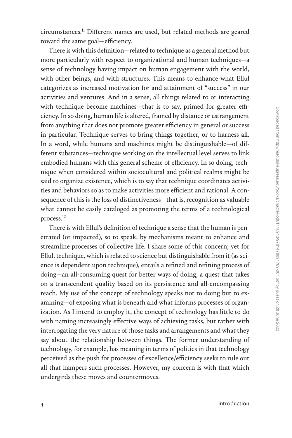circumstances.[11](#page--1-0) Different names are used, but related methods are geared toward the same goal—efficiency.

There is with this definition—related to technique as a general method but more particularly with respect to organizational and human techniques—a sense of technology having impact on human engagement with the world, with other beings, and with structures. This means to enhance what Ellul categorizes as increased motivation for and attainment of "success" in our activities and ventures. And in a sense, all things related to or interacting with technique become machines—that is to say, primed for greater efficiency. In so doing, human life is altered, framed by distance or estrangement from anything that does not promote greater efficiency in general or success in particular. Technique serves to bring things together, or to harness all. In a word, while humans and machines might be distinguishable—of different substances—technique working on the intellectual level serves to link embodied humans with this general scheme of efficiency. In so doing, technique when considered within sociocultural and political realms might be said to organize existence, which is to say that technique coordinates activities and behaviors so as to make activities more efficient and rational. A consequence of this is the loss of distinctiveness—that is, recognition as valuable what cannot be easily cataloged as promoting the terms of a technological process[.12](#page--1-0)

There is with Ellul's definition of technique a sense that the human is penetrated (or impacted), so to speak, by mechanisms meant to enhance and streamline processes of collective life. I share some of this concern; yet for Ellul, technique, which is related to science but distinguishable from it (as science is dependent upon technique), entails a refined and refining process of doing—an all-consuming quest for better ways of doing, a quest that takes on a transcendent quality based on its persistence and all-encompassing reach. My use of the concept of technology speaks not to doing but to examining—of exposing what is beneath and what informs processes of organization. As I intend to employ it, the concept of technology has little to do with naming increasingly effective ways of achieving tasks, but rather with interrogating the very nature of those tasks and arrangements and what they say about the relationship between things. The former understanding of technology, for example, has meaning in terms of politics in that technology perceived as the push for processes of excellence/efficiency seeks to rule out all that hampers such processes. However, my concern is with that which undergirds these moves and countermoves.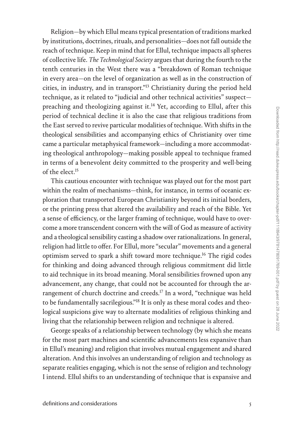Religion—by which Ellul means typical presentation of traditions marked by institutions, doctrines, rituals, and personalities—does not fall outside the reach of technique. Keep in mind that for Ellul, technique impacts all spheres of collective life. *The Technological Society* argues that during the fourth to the tenth centuries in the West there was a "breakdown of Roman technique in every area—on the level of organization as well as in the construction of cities, in industry, and in transport.["13](#page--1-0) Christianity during the period held technique, as it related to "judicial and other technical activities" suspect preaching and theologizing against it.<sup>14</sup> Yet, according to Ellul, after this period of technical decline it is also the case that religious traditions from the East served to revive particular modalities of technique. With shifts in the theological sensibilities and accompanying ethics of Christianity over time came a particular metaphysical framework—including a more accommodating theological anthropology—making possible appeal to technique framed in terms of a benevolent deity committed to the prosperity and well-being of the elect  $15$ 

This cautious encounter with technique was played out for the most part within the realm of mechanisms—think, for instance, in terms of oceanic exploration that transported European Christianity beyond its initial borders, or the printing press that altered the availability and reach of the Bible. Yet a sense of efficiency, or the larger framing of technique, would have to overcome a more transcendent concern with the will of God as measure of activity and a theological sensibility casting a shadow over rationalizations. In general, religion had little to offer. For Ellul, more "secular" movements and a general optimism served to spark a shift toward more technique.[16](#page--1-0) The rigid codes for thinking and doing advanced through religious commitment did little to aid technique in its broad meaning. Moral sensibilities frowned upon any advancement, any change, that could not be accounted for through the arrangement of church doctrine and creeds.<sup>17</sup> In a word, "technique was held to be fundamentally sacrilegious."[18](#page--1-0) It is only as these moral codes and theological suspicions give way to alternate modalities of religious thinking and living that the relationship between religion and technique is altered.

George speaks of a relationship between technology (by which she means for the most part machines and scientific advancements less expansive than in Ellul's meaning) and religion that involves mutual engagement and shared alteration. And this involves an understanding of religion and technology as separate realities engaging, which is not the sense of religion and technology I intend. Ellul shifts to an understanding of technique that is expansive and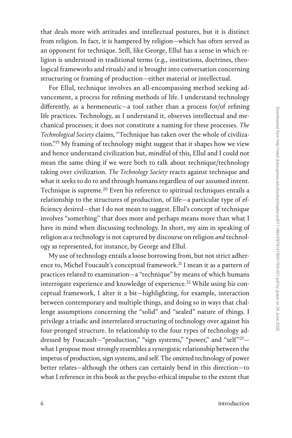that deals more with attitudes and intellectual postures, but it is distinct from religion. In fact, it is hampered by religion—which has often served as an opponent for technique. Still, like George, Ellul has a sense in which religion is understood in traditional terms (e.g., institutions, doctrines, theological frameworks and rituals) and is brought into conversation concerning structuring or framing of production—either material or intellectual.

For Ellul, technique involves an all-encompassing method seeking advancement, a process for refining methods of life. I understand technology differently, as a hermeneutic—a tool rather than a process for/of refining life practices. Technology, as I understand it, observes intellectual and mechanical processes; it does not constitute a naming for these processes. *The Technological Society* claims, "Technique has taken over the whole of civilization.["19](#page--1-0) My framing of technology might suggest that it shapes how we view and hence understand civilization but, mindful of this, Ellul and I could not mean the same thing if we were both to talk about technique/technology taking over civilization. *The Technology Society* reacts against technique and what it seeks to do to and through humans regardless of our assumed intent. Technique is supreme.<sup>20</sup> Even his reference to spiritual techniques entails a relationship to the structures of production, of life—a particular type of efficiency desired—that I do not mean to suggest. Ellul's concept of technique involves "something" that does more and perhaps means more than what I have in mind when discussing technology. In short, my aim in speaking of religion *as a* technology is not captured by discourse on religion *and* technology as represented, for instance, by George and Ellul.

My use of technology entails a loose borrowing from, but not strict adherence to, Michel Foucault's conceptual framework.<sup>21</sup> I mean it as a pattern of practices related to examination—a "technique" by means of which humans interrogate experience and knowledge of experience.<sup>22</sup> While using his conceptual framework, I alter it a bit—highlighting, for example, interaction between contemporary and multiple things, and doing so in ways that challenge assumptions concerning the "solid" and "sealed" nature of things. I privilege a triadic and interrelated structuring of technology over against his four-pronged structure. In relationship to the four types of technology addressed by Foucault-"production," "sign systems," "power," and "self"<sup>23</sup>what I propose most strongly resembles a synergistic relationship between the impetus of production, sign systems, and self. The omitted technology of power better relates—although the others can certainly bend in this direction—to what I reference in this book as the psycho-ethical impulse to the extent that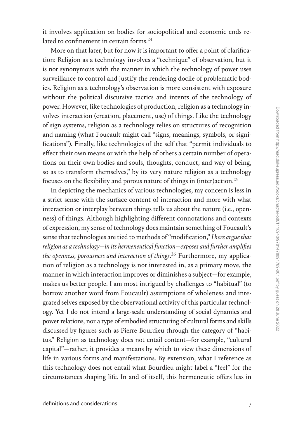it involves application on bodies for sociopolitical and economic ends re-lated to confinement in certain forms.<sup>[24](#page--1-0)</sup>

More on that later, but for now it is important to offer a point of clarification: Religion as a technology involves a "technique" of observation, but it is not synonymous with the manner in which the technology of power uses surveillance to control and justify the rendering docile of problematic bodies. Religion as a technology's observation is more consistent with exposure without the political discursive tactics and intents of the technology of power. However, like technologies of production, religion as a technology involves interaction (creation, placement, use) of things. Like the technology of sign systems, religion as a technology relies on structures of recognition and naming (what Foucault might call "signs, meanings, symbols, or significations"). Finally, like technologies of the self that "permit individuals to effect their own means or with the help of others a certain number of operations on their own bodies and souls, thoughts, conduct, and way of being, so as to transform themselves," by its very nature religion as a technology focuses on the flexibility and porous nature of things in (inter)action.<sup>[25](#page--1-0)</sup>

In depicting the mechanics of various technologies, my concern is less in a strict sense with the surface content of interaction and more with what interaction or interplay between things tells us about the nature (i.e., openness) of things. Although highlighting different connotations and contexts of expression, my sense of technology does maintain something of Foucault's sense that technologies are tied to methods of "modification," *I here argue that religion as a technology—in its hermeneutical function—exposes and further amplifies the openness, porousness and interaction of things*. [26](#page--1-0) Furthermore, my application of religion as a technology is not interested in, as a primary move, the manner in which interaction improves or diminishes a subject—for example, makes us better people. I am most intrigued by challenges to "habitual" (to borrow another word from Foucault) assumptions of wholeness and integrated selves exposed by the observational activity of this particular technology. Yet I do not intend a large-scale understanding of social dynamics and power relations, nor a type of embodied structuring of cultural forms and skills discussed by figures such as Pierre Bourdieu through the category of "habitus." Religion as technology does not entail content—for example, "cultural capital"—rather, it provides a means by which to view these dimensions of life in various forms and manifestations. By extension, what I reference as this technology does not entail what Bourdieu might label a "feel" for the circumstances shaping life. In and of itself, this hermeneutic offers less in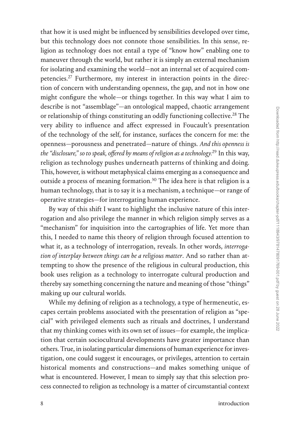that how it is used might be influenced by sensibilities developed over time, but this technology does not connote those sensibilities. In this sense, religion as technology does not entail a type of "know how" enabling one to maneuver through the world, but rather it is simply an external mechanism for isolating and examining the world—not an internal set of acquired competencies.[27](#page--1-0) Furthermore, my interest in interaction points in the direction of concern with understanding openness, the gap, and not in how one might configure the whole—or things together. In this way what I aim to describe is not "assemblage"—an ontological mapped, chaotic arrangement or relationship of things constituting an oddly functioning collective.<sup>[28](#page--1-0)</sup> The very ability to influence and affect expressed in Foucault's presentation of the technology of the self, for instance, surfaces the concern for me: the openness—porousness and penetrated—nature of things. *And this openness is the "disclosure," so to speak, offered by means of religion as a technology.*[29](#page--1-0) In this way, religion as technology pushes underneath patterns of thinking and doing. This, however, is without metaphysical claims emerging as a consequence and outside a process of meaning formation.<sup>30</sup> The idea here is that religion is a human technology, that is to say it is a mechanism, a technique—or range of operative strategies—for interrogating human experience.

By way of this shift I want to highlight the inclusive nature of this interrogation and also privilege the manner in which religion simply serves as a "mechanism" for inquisition into the cartographies of life. Yet more than this, I needed to name this theory of religion through focused attention to what it, as a technology of interrogation, reveals. In other words, *interrogation of interplay between things can be a religious matter*. And so rather than attempting to show the presence of the religious in cultural production, this book uses religion as a technology to interrogate cultural production and thereby say something concerning the nature and meaning of those "things" making up our cultural worlds.

While my defining of religion as a technology, a type of hermeneutic, escapes certain problems associated with the presentation of religion as "special" with privileged elements such as rituals and doctrines, I understand that my thinking comes with its own set of issues—for example, the implication that certain sociocultural developments have greater importance than others. True, in isolating particular dimensions of human experience for investigation, one could suggest it encourages, or privileges, attention to certain historical moments and constructions—and makes something unique of what is encountered. However, I mean to simply say that this selection process connected to religion as technology is a matter of circumstantial context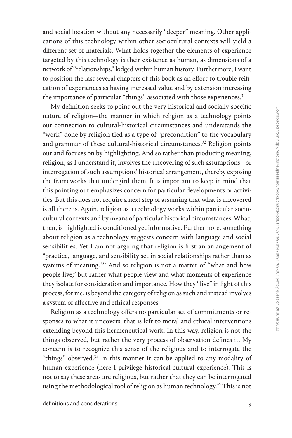and social location without any necessarily "deeper" meaning. Other applications of this technology within other sociocultural contexts will yield a different set of materials. What holds together the elements of experience targeted by this technology is their existence as human, as dimensions of a network of "relationships," lodged within human history. Furthermore, I want to position the last several chapters of this book as an effort to trouble reification of experiences as having increased value and by extension increasing the importance of particular "things" associated with those experiences.<sup>31</sup>

My definition seeks to point out the very historical and socially specific nature of religion—the manner in which religion as a technology points out connection to cultural-historical circumstances and understands the "work" done by religion tied as a type of "precondition" to the vocabulary and grammar of these cultural-historical circumstances.<sup>32</sup> Religion points out and focuses on by highlighting. And so rather than producing meaning, religion, as I understand it, involves the uncovering of such assumptions—or interrogation of such assumptions' historical arrangement, thereby exposing the frameworks that undergird them. It is important to keep in mind that this pointing out emphasizes concern for particular developments or activities. But this does not require a next step of assuming that what is uncovered is all there is. Again, religion as a technology works within particular sociocultural contexts and by means of particular historical circumstances. What, then, is highlighted is conditioned yet informative. Furthermore, something about religion as a technology suggests concern with language and social sensibilities. Yet I am not arguing that religion is first an arrangement of "practice, language, and sensibility set in social relationships rather than as systems of meaning."<sup>33</sup> And so religion is not a matter of "what and how people live," but rather what people view and what moments of experience they isolate for consideration and importance. How they "live" in light of this process, for me, is beyond the category of religion as such and instead involves a system of affective and ethical responses.

Religion as a technology offers no particular set of commitments or responses to what it uncovers; that is left to moral and ethical interventions extending beyond this hermeneutical work. In this way, religion is not the things observed, but rather the very process of observation defines it. My concern is to recognize this sense of the religious and to interrogate the "things" observed.<sup>34</sup> In this manner it can be applied to any modality of human experience (here I privilege historical-cultural experience). This is not to say these areas are religious, but rather that they can be interrogated using the methodological tool of religion as human technology.<sup>35</sup> This is not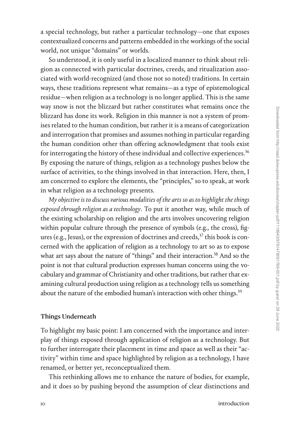a special technology, but rather a particular technology—one that exposes contextualized concerns and patterns embedded in the workings of the social world, not unique "domains" or worlds.

So understood, it is only useful in a localized manner to think about religion as connected with particular doctrines, creeds, and ritualization associated with world-recognized (and those not so noted) traditions. In certain ways, these traditions represent what remains—as a type of epistemological residue—when religion as a technology is no longer applied. This is the same way snow is not the blizzard but rather constitutes what remains once the blizzard has done its work. Religion in this manner is not a system of promises related to the human condition, but rather it is a means of categorization and interrogation that promises and assumes nothing in particular regarding the human condition other than offering acknowledgment that tools exist for interrogating the history of these individual and collective experiences.<sup>[36](#page--1-0)</sup> By exposing the nature of things, religion as a technology pushes below the surface of activities, to the things involved in that interaction. Here, then, I am concerned to explore the elements, the "principles," so to speak, at work in what religion as a technology presents.

*My objective is to discuss various modalities of the arts so as to highlight the things exposed through religion as a technology*. To put it another way, while much of the existing scholarship on religion and the arts involves uncovering religion within popular culture through the presence of symbols (e.g., the cross), figures (e.g., Jesus), or the expression of doctrines and creeds,  $37$  this book is concerned with the application of religion as a technology to art so as to expose what art says about the nature of "things" and their interaction.<sup>38</sup> And so the point is not that cultural production expresses human concerns using the vocabulary and grammar of Christianity and other traditions, but rather that examining cultural production using religion as a technology tells us something about the nature of the embodied human's interaction with other things.<sup>[39](#page--1-0)</sup>

#### Things Underneath

To highlight my basic point: I am concerned with the importance and interplay of things exposed through application of religion as a technology. But to further interrogate their placement in time and space as well as their "activity" within time and space highlighted by religion as a technology, I have renamed, or better yet, reconceptualized them.

This rethinking allows me to enhance the nature of bodies, for example, and it does so by pushing beyond the assumption of clear distinctions and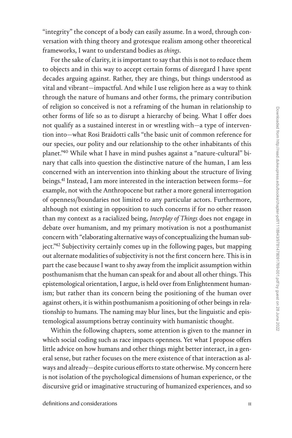"integrity" the concept of a body can easily assume. In a word, through conversation with thing theory and grotesque realism among other theoretical frameworks, I want to understand bodies as *things*.

For the sake of clarity, it is important to say that this is not to reduce them to objects and in this way to accept certain forms of disregard I have spent decades arguing against. Rather, they are things, but things understood as vital and vibrant—impactful. And while I use religion here as a way to think through the nature of humans and other forms, the primary contribution of religion so conceived is not a reframing of the human in relationship to other forms of life so as to disrupt a hierarchy of being. What I offer does not qualify as a sustained interest in or wrestling with—a type of intervention into—what Rosi Braidotti calls "the basic unit of common reference for our species, our polity and our relationship to the other inhabitants of this planet.["40](#page--1-0) While what I have in mind pushes against a "nature-cultural" binary that calls into question the distinctive nature of the human, I am less concerned with an intervention into thinking about the structure of living beings.<sup>[41](#page--1-0)</sup> Instead, I am more interested in the interaction between forms-for example, not with the Anthropocene but rather a more general interrogation of openness/boundaries not limited to any particular actors. Furthermore, although not existing in opposition to such concerns if for no other reason than my context as a racialized being, *Interplay of Things* does not engage in debate over humanism, and my primary motivation is not a posthumanist concern with "elaborating alternative ways of conceptualizing the human subject.["42](#page--1-0) Subjectivity certainly comes up in the following pages, but mapping out alternate modalities of subjectivity is not the first concern here. This is in part the case because I want to shy away from the implicit assumption within posthumanism that the human can speak for and about all other things. This epistemological orientation, I argue, is held over from Enlightenment humanism; but rather than its concern being the positioning of the human over against others, it is within posthumanism a positioning of other beings in relationship to humans. The naming may blur lines, but the linguistic and epistemological assumptions betray continuity with humanistic thought.

Within the following chapters, some attention is given to the manner in which social coding such as race impacts openness. Yet what I propose offers little advice on how humans and other things might better interact, in a general sense, but rather focuses on the mere existence of that interaction as always and already—despite curious efforts to state otherwise. My concern here is not isolation of the psychological dimensions of human experience, or the discursive grid or imaginative structuring of humanized experiences, and so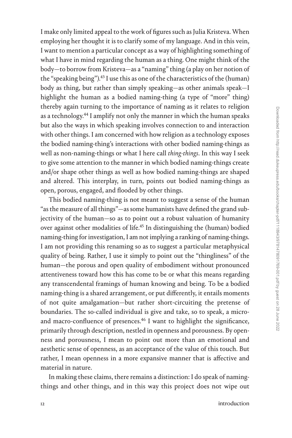I make only limited appeal to the work of figures such as Julia Kristeva. When employing her thought it is to clarify some of my language. And in this vein, I want to mention a particular concept as a way of highlighting something of what I have in mind regarding the human as a thing. One might think of the body—to borrow from Kristeva—as a "naming" thing (a play on her notion of the "speaking being").<sup>43</sup> I use this as one of the characteristics of the (human) body as thing, but rather than simply speaking—as other animals speak—I highlight the human as a bodied naming-thing (a type of "more" thing) thereby again turning to the importance of naming as it relates to religion as a technology.<sup>44</sup> I amplify not only the manner in which the human speaks but also the ways in which speaking involves connection to and interaction with other things. I am concerned with how religion as a technology exposes the bodied naming-thing's interactions with other bodied naming-things as well as non-naming-things or what I here call *thing-things*. In this way I seek to give some attention to the manner in which bodied naming-things create and/or shape other things as well as how bodied naming-things are shaped and altered. This interplay, in turn, points out bodied naming-things as open, porous, engaged, and flooded by other things.

This bodied naming-thing is not meant to suggest a sense of the human "as the measure of all things"—as some humanists have defined the grand subjectivity of the human—so as to point out a robust valuation of humanity over against other modalities of life.[45](#page--1-0) In distinguishing the (human) bodied naming-thing for investigation, I am not implying a ranking of naming-things. I am not providing this renaming so as to suggest a particular metaphysical quality of being. Rather, I use it simply to point out the "thingliness" of the human—the porous and open quality of embodiment without pronounced attentiveness toward how this has come to be or what this means regarding any transcendental framings of human knowing and being. To be a bodied naming-thing is a shared arrangement, or put differently, it entails moments of not quite amalgamation—but rather short-circuiting the pretense of boundaries. The so-called individual is give and take, so to speak, a microand macro-confluence of presences.[46](#page--1-0) I want to highlight the significance, primarily through description, nestled in openness and porousness. By openness and porousness, I mean to point out more than an emotional and aesthetic sense of openness, as an acceptance of the value of this touch. But rather, I mean openness in a more expansive manner that is affective and material in nature.

In making these claims, there remains a distinction: I do speak of namingthings and other things, and in this way this project does not wipe out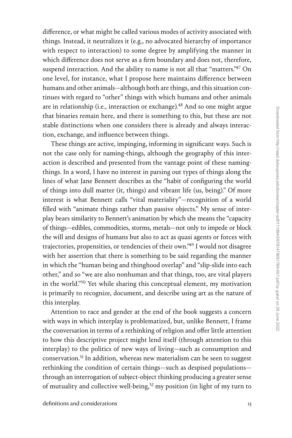difference, or what might be called various modes of activity associated with things. Instead, it neutralizes it (e.g., no advocated hierarchy of importance with respect to interaction) to some degree by amplifying the manner in which difference does not serve as a firm boundary and does not, therefore, suspend interaction. And the ability to name is not all that "matters.["47](#page--1-0) On one level, for instance, what I propose here maintains difference between humans and other animals—although both are things, and this situation continues with regard to "other" things with which humans and other animals are in relationship (i.e., interaction or exchange).<sup>48</sup> And so one might argue that binaries remain here, and there is something to this, but these are not stable distinctions when one considers there is already and always interaction, exchange, and influence between things.

These things are active, impinging, informing in significant ways. Such is not the case only for naming-things, although the geography of this interaction is described and presented from the vantage point of these namingthings. In a word, I have no interest in parsing out types of things along the lines of what Jane Bennett describes as the "habit of configuring the world of things into dull matter (it, things) and vibrant life (us, being)." Of more interest is what Bennett calls "vital materiality"—recognition of a world filled with "animate things rather than passive objects." My sense of interplay bears similarity to Bennett's animation by which she means the "capacity of things—edibles, commodities, storms, metals—not only to impede or block the will and designs of humans but also to act as quasi agents or forces with trajectories, propensities, or tendencies of their own.["49](#page--1-0) I would not disagree with her assertion that there is something to be said regarding the manner in which the "human being and thinghood overlap" and "slip-slide into each other," and so "we are also nonhuman and that things, too, are vital players in the world."[50](#page--1-0) Yet while sharing this conceptual element, my motivation is primarily to recognize, document, and describe using art as the nature of this interplay.

Attention to race and gender at the end of the book suggests a concern with ways in which interplay is problematized, but, unlike Bennett, I frame the conversation in terms of a rethinking of religion and offer little attention to how this descriptive project might lend itself (through attention to this interplay) to the politics of new ways of living—such as consumption and conservation.<sup>51</sup> In addition, whereas new materialism can be seen to suggest rethinking the condition of certain things—such as despised populations through an interrogation of subject-object thinking producing a greater sense of mutuality and collective well-being,<sup>52</sup> my position (in light of my turn to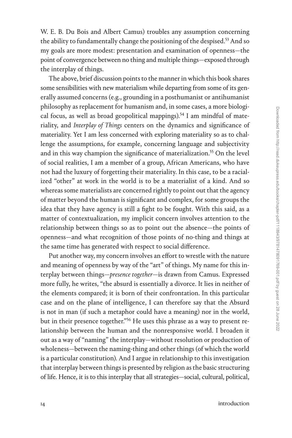W. E. B. Du Bois and Albert Camus) troubles any assumption concerning the ability to fundamentally change the positioning of the despised.<sup>53</sup> And so my goals are more modest: presentation and examination of openness—the point of convergence between no thing and multiple things—exposed through the interplay of things.

The above, brief discussion points to the manner in which this book shares some sensibilities with new materialism while departing from some of its generally assumed concerns (e.g., grounding in a posthumanist or antihumanist philosophy as replacement for humanism and, in some cases, a more biological focus, as well as broad geopolitical mappings).<sup>54</sup> I am mindful of materiality, and *Interplay of Things* centers on the dynamics and significance of materiality. Yet I am less concerned with exploring materiality so as to challenge the assumptions, for example, concerning language and subjectivity and in this way champion the significance of materialization.<sup>55</sup> On the level of social realities, I am a member of a group, African Americans, who have not had the luxury of forgetting their materiality. In this case, to be a racialized "other" at work in the world is to be a materialist of a kind. And so whereas some materialists are concerned rightly to point out that the agency of matter beyond the human is significant and complex, for some groups the idea that they have agency is still a fight to be fought. With this said, as a matter of contextualization, my implicit concern involves attention to the relationship between things so as to point out the absence—the points of openness—and what recognition of those points of no-thing and things at the same time has generated with respect to social difference.

Put another way, my concern involves an effort to wrestle with the nature and meaning of openness by way of the "art" of things. My name for this interplay between things—*presence together*—is drawn from Camus. Expressed more fully, he writes, "the absurd is essentially a divorce. It lies in neither of the elements compared; it is born of their confrontation. In this particular case and on the plane of intelligence, I can therefore say that the Absurd is not in man (if such a metaphor could have a meaning) nor in the world, but in their presence together.["56](#page--1-0) He uses this phrase as a way to present relationship between the human and the nonresponsive world. I broaden it out as a way of "naming" the interplay—without resolution or production of wholeness—between the naming-thing and other things (of which the world is a particular constitution). And I argue in relationship to this investigation that interplay between things is presented by religion as the basic structuring of life. Hence, it is to this interplay that all strategies—social, cultural, political,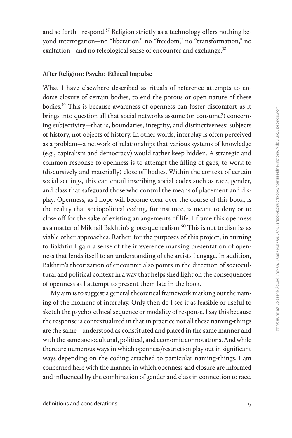and so forth—respond.<sup>57</sup> Religion strictly as a technology offers nothing beyond interrogation—no "liberation," no "freedom," no "transformation," no exaltation—and no teleological sense of encounter and exchange.<sup>58</sup>

## After Religion: Psycho-Ethical Impulse

What I have elsewhere described as rituals of reference attempts to endorse closure of certain bodies, to end the porous or open nature of these bodies[.59](#page--1-0) This is because awareness of openness can foster discomfort as it brings into question all that social networks assume (or consume?) concerning subjectivity—that is, boundaries, integrity, and distinctiveness: subjects of history, not objects of history. In other words, interplay is often perceived as a problem—a network of relationships that various systems of knowledge (e.g., capitalism and democracy) would rather keep hidden. A strategic and common response to openness is to attempt the filling of gaps, to work to (discursively and materially) close off bodies. Within the context of certain social settings, this can entail inscribing social codes such as race, gender, and class that safeguard those who control the means of placement and display. Openness, as I hope will become clear over the course of this book, is the reality that sociopolitical coding, for instance, is meant to deny or to close off for the sake of existing arrangements of life. I frame this openness as a matter of Mikhail Bakhtin's grotesque realism.<sup>60</sup> This is not to dismiss as viable other approaches. Rather, for the purposes of this project, in turning to Bakhtin I gain a sense of the irreverence marking presentation of openness that lends itself to an understanding of the artists I engage. In addition, Bakhtin's theorization of encounter also points in the direction of sociocultural and political context in a way that helps shed light on the consequences of openness as I attempt to present them late in the book.

My aim is to suggest a general theoretical framework marking out the naming of the moment of interplay. Only then do I see it as feasible or useful to sketch the psycho-ethical sequence or modality of response. I say this because the response is contextualized in that in practice not all these naming-things are the same—understood as constituted and placed in the same manner and with the same sociocultural, political, and economic connotations. And while there are numerous ways in which openness/restriction play out in significant ways depending on the coding attached to particular naming-things, I am concerned here with the manner in which openness and closure are informed and influenced by the combination of gender and class in connection to race.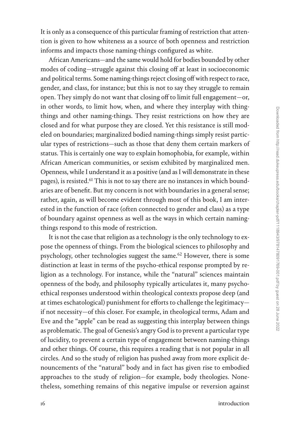It is only as a consequence of this particular framing of restriction that attention is given to how whiteness as a source of both openness and restriction informs and impacts those naming-things configured as white.

African Americans—and the same would hold for bodies bounded by other modes of coding—struggle against this closing off at least in socioeconomic and political terms. Some naming-things reject closing off with respect to race, gender, and class, for instance; but this is not to say they struggle to remain open. They simply do not want that closing off to limit full engagement—or, in other words, to limit how, when, and where they interplay with thingthings and other naming-things. They resist restrictions on how they are closed and for what purpose they are closed. Yet this resistance is still modeled on boundaries; marginalized bodied naming-things simply resist particular types of restrictions—such as those that deny them certain markers of status. This is certainly one way to explain homophobia, for example, within African American communities, or sexism exhibited by marginalized men. Openness, while I understand it as a positive (and as I will demonstrate in these pages), is resisted.<sup>61</sup> This is not to say there are no instances in which boundaries are of benefit. But my concern is not with boundaries in a general sense; rather, again, as will become evident through most of this book, I am interested in the function of race (often connected to gender and class) as a type of boundary against openness as well as the ways in which certain namingthings respond to this mode of restriction.

It is not the case that religion as a technology is the only technology to expose the openness of things. From the biological sciences to philosophy and psychology, other technologies suggest the same.<sup>62</sup> However, there is some distinction at least in terms of the psycho-ethical response prompted by religion as a technology. For instance, while the "natural" sciences maintain openness of the body, and philosophy typically articulates it, many psychoethical responses understood within theological contexts propose deep (and at times eschatological) punishment for efforts to challenge the legitimacy if not necessity—of this closer. For example, in theological terms, Adam and Eve and the "apple" can be read as suggesting this interplay between things as problematic. The goal of Genesis's angry God is to prevent a particular type of lucidity, to prevent a certain type of engagement between naming-things and other things. Of course, this requires a reading that is not popular in all circles. And so the study of religion has pushed away from more explicit denouncements of the "natural" body and in fact has given rise to embodied approaches to the study of religion—for example, body theologies. Nonetheless, something remains of this negative impulse or reversion against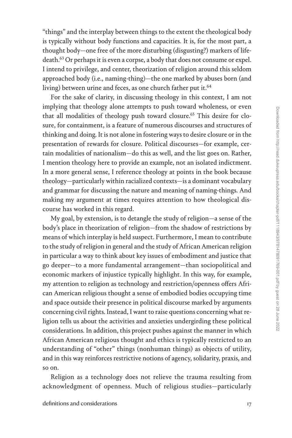"things" and the interplay between things to the extent the theological body is typically without body functions and capacities. It is, for the most part, a thought body—one free of the more disturbing (disgusting?) markers of lifedeath[.63](#page--1-0) Or perhaps it is even a corpse, a body that does not consume or expel. I intend to privilege, and center, theorization of religion around this seldom approached body (i.e., naming-thing)—the one marked by abuses born (and living) between urine and feces, as one church father put it.<sup>[64](#page--1-0)</sup>

For the sake of clarity, in discussing theology in this context, I am not implying that theology alone attempts to push toward wholeness, or even that all modalities of theology push toward closure.<sup>65</sup> This desire for closure, for containment, is a feature of numerous discourses and structures of thinking and doing. It is not alone in fostering ways to desire closure or in the presentation of rewards for closure. Political discourses—for example, certain modalities of nationalism—do this as well, and the list goes on. Rather, I mention theology here to provide an example, not an isolated indictment. In a more general sense, I reference theology at points in the book because theology—particularly within racialized contexts—is a dominant vocabulary and grammar for discussing the nature and meaning of naming-things. And making my argument at times requires attention to how theological discourse has worked in this regard.

My goal, by extension, is to detangle the study of religion—a sense of the body's place in theorization of religion—from the shadow of restrictions by means of which interplay is held suspect. Furthermore, I mean to contribute to the study of religion in general and the study of African American religion in particular a way to think about key issues of embodiment and justice that go deeper—to a more fundamental arrangement—than sociopolitical and economic markers of injustice typically highlight. In this way, for example, my attention to religion as technology and restriction/openness offers African American religious thought a sense of embodied bodies occupying time and space outside their presence in political discourse marked by arguments concerning civil rights. Instead, I want to raise questions concerning what religion tells us about the activities and anxieties undergirding these political considerations. In addition, this project pushes against the manner in which African American religious thought and ethics is typically restricted to an understanding of "other" things (nonhuman things) as objects of utility, and in this way reinforces restrictive notions of agency, solidarity, praxis, and so on.

Religion as a technology does not relieve the trauma resulting from acknowledgment of openness. Much of religious studies—particularly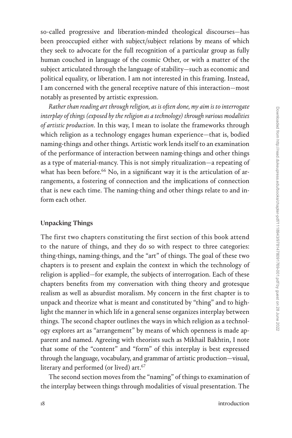so-called progressive and liberation-minded theological discourses—has been preoccupied either with subject/subject relations by means of which they seek to advocate for the full recognition of a particular group as fully human couched in language of the cosmic Other, or with a matter of the subject articulated through the language of stability—such as economic and political equality, or liberation. I am not interested in this framing. Instead, I am concerned with the general receptive nature of this interaction—most notably as presented by artistic expression.

*Rather than reading art through religion, as is often done, my aim is to interrogate interplay of things (exposed by the religion as a technology) through various modalities of artistic production*. In this way, I mean to isolate the frameworks through which religion as a technology engages human experience—that is, bodied naming-things and other things. Artistic work lends itself to an examination of the performance of interaction between naming-things and other things as a type of material-mancy. This is not simply ritualization—a repeating of what has been before.<sup>66</sup> No, in a significant way it is the articulation of arrangements, a fostering of connection and the implications of connection that is new each time. The naming-thing and other things relate to and inform each other.

### Unpacking Things

The first two chapters constituting the first section of this book attend to the nature of things, and they do so with respect to three categories: thing-things, naming-things, and the "art" of things. The goal of these two chapters is to present and explain the context in which the technology of religion is applied—for example, the subjects of interrogation. Each of these chapters benefits from my conversation with thing theory and grotesque realism as well as absurdist moralism. My concern in the first chapter is to unpack and theorize what is meant and constituted by "thing" and to highlight the manner in which life in a general sense organizes interplay between things. The second chapter outlines the ways in which religion as a technology explores art as "arrangement" by means of which openness is made apparent and named. Agreeing with theorists such as Mikhail Bakhtin, I note that some of the "content" and "form" of this interplay is best expressed through the language, vocabulary, and grammar of artistic production—visual, literary and performed (or lived) art.<sup>[67](#page--1-0)</sup>

The second section moves from the "naming" of things to examination of the interplay between things through modalities of visual presentation. The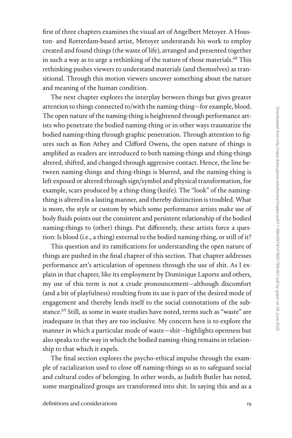first of three chapters examines the visual art of Angelbert Metoyer. A Houston- and Rotterdam-based artist, Metoyer understands his work to employ created and found things (the waste of life), arranged and presented together in such a way as to urge a rethinking of the nature of those materials.<sup>68</sup> This rethinking pushes viewers to understand materials (and themselves) as transitional. Through this motion viewers uncover something about the nature and meaning of the human condition.

The next chapter explores the interplay between things but gives greater attention to things connected to/with the naming-thing—for example, blood. The open nature of the naming-thing is heightened through performance artists who penetrate the bodied naming-thing or in other ways traumatize the bodied naming-thing through graphic penetration. Through attention to figures such as Ron Athey and Clifford Owens, the open nature of things is amplified as readers are introduced to both naming-things and thing-things altered, shifted, and changed through aggressive contact. Hence, the line between naming-things and thing-things is blurred, and the naming-thing is left exposed or altered through sign/symbol and physical transformation, for example, scars produced by a thing-thing (knife). The "look" of the namingthing is altered in a lasting manner, and thereby distinction is troubled. What is more, the style or custom by which some performance artists make use of body fluids points out the consistent and persistent relationship of the bodied naming-things to (other) things. Put differently, these artists force a question: Is blood (i.e., a thing) external to the bodied naming-thing, or still of it?

This question and its ramifications for understanding the open nature of things are pushed in the final chapter of this section. That chapter addresses performance art's articulation of openness through the use of shit. As I explain in that chapter, like its employment by Dominique Laporte and others, my use of this term is not a crude pronouncement—although discomfort (and a bit of playfulness) resulting from its use is part of the desired mode of engagement and thereby lends itself to the social connotations of the substance.<sup>69</sup> Still, as some in waste studies have noted, terms such as "waste" are inadequate in that they are too inclusive. My concern here is to explore the manner in which a particular mode of waste—shit—highlights openness but also speaks to the way in which the bodied naming-thing remains in relationship to that which it expels.

The final section explores the psycho-ethical impulse through the example of racialization used to close off naming-things so as to safeguard social and cultural codes of belonging. In other words, as Judith Butler has noted, some marginalized groups are transformed into shit. In saying this and as a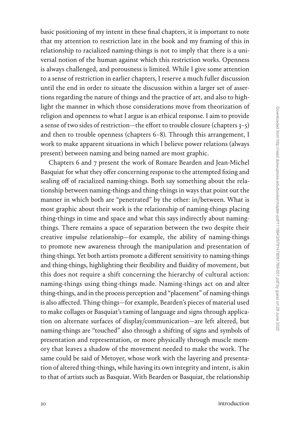basic positioning of my intent in these final chapters, it is important to note that my attention to restriction late in the book and my framing of this in relationship to racialized naming-things is not to imply that there is a universal notion of the human against which this restriction works. Openness is always challenged, and porousness is limited. While I give some attention to a sense of restriction in earlier chapters, I reserve a much fuller discussion until the end in order to situate the discussion within a larger set of assertions regarding the nature of things and the practice of art, and also to highlight the manner in which those considerations move from theorization of religion and openness to what I argue is an ethical response. I aim to provide a sense of two sides of restriction—the effort to trouble closure (chapters  $3-5$ ) and then to trouble openness (chapters 6–8). Through this arrangement, I work to make apparent situations in which I believe power relations (always present) between naming and being named are most graphic.

Chapters 6 and 7 present the work of Romare Bearden and Jean-Michel Basquiat for what they offer concerning response to the attempted fixing and sealing off of racialized naming-things. Both say something about the relationship between naming-things and thing-things in ways that point out the manner in which both are "penetrated" by the other: in/between. What is most graphic about their work is the relationship of naming-things placing thing-things in time and space and what this says indirectly about namingthings. There remains a space of separation between the two despite their creative impulse relationship—for example, the ability of naming-things to promote new awareness through the manipulation and presentation of thing-things. Yet both artists promote a different sensitivity to naming-things and thing-things, highlighting their flexibility and fluidity of movement, but this does not require a shift concerning the hierarchy of cultural action: naming-things using thing-things made. Naming-things act on and alter thing-things, and in the process perception and "placement" of naming-things is also affected. Thing-things—for example, Bearden's pieces of material used to make collages or Basquiat's taming of language and signs through application on alternate surfaces of display/communication—are left altered, but naming-things are "touched" also through a shifting of signs and symbols of presentation and representation, or more physically through muscle memory that leaves a shadow of the movement needed to make the work. The same could be said of Metoyer, whose work with the layering and presentation of altered thing-things, while having its own integrity and intent, is akin to that of artists such as Basquiat. With Bearden or Basquiat, the relationship